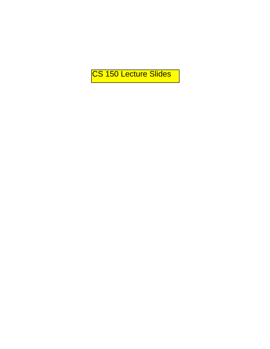CS 150 Lecture Slides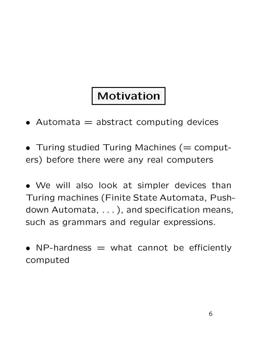### | Motivation

- Automata  $=$  abstract computing devices
- Turing studied Turing Machines ( $=$  computers) before there were any real computers

• We will also look at simpler devices than Turing machines (Finite State Automata, Pushdown Automata, . . . ), and specification means, such as grammars and regular expressions.

• NP-hardness  $=$  what cannot be efficiently computed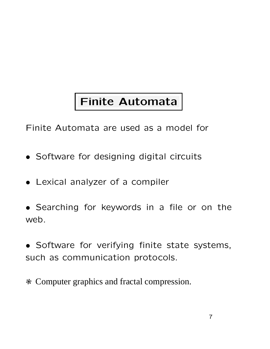### Finite Automata

Finite Automata are used as a model for

- Software for designing digital circuits
- Lexical analyzer of a compiler
- Searching for keywords in a file or on the web.
- Software for verifying finite state systems, such as communication protocols.
- c Computer graphics and fractal compression.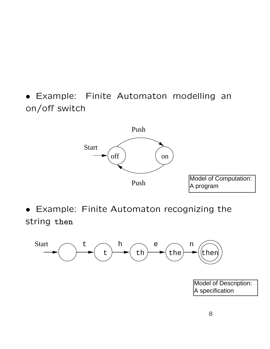• Example: Finite Automaton modelling an on/off switch



• Example: Finite Automaton recognizing the string then



Model of Description: A specification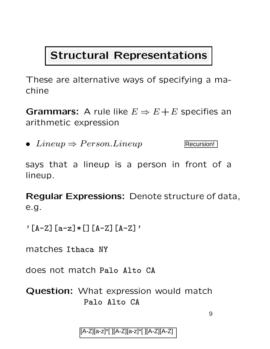#### Structural Representations

These are alternative ways of specifying a machine

**Grammars:** A rule like  $E \Rightarrow E + E$  specifies an arithmetic expression

• Lineup  $\Rightarrow$  Person. Lineup

Recursion!

says that a lineup is a person in front of a lineup.

Regular Expressions: Denote structure of data, e.g.

 $\cdot$  [A-Z] [a-z]  $\ast$  [][A-Z] [A-Z]'

matches Ithaca NY

does not match Palo Alto CA

Question: What expression would match Palo Alto CA

 $\mathbf Q$ 

[A-Z][a-z]\*[ ][A-Z][a-z]\*[ ][A-Z][A-Z]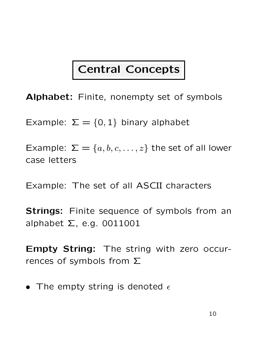### Central Concepts

Alphabet: Finite, nonempty set of symbols

Example:  $\Sigma = \{0,1\}$  binary alphabet

Example:  $\Sigma = \{a, b, c, \dots, z\}$  the set of all lower case letters

Example: The set of all ASCII characters

**Strings:** Finite sequence of symbols from an alphabet  $\Sigma$ , e.g. 0011001

Empty String: The string with zero occurrences of symbols from  $\Sigma$ 

• The empty string is denoted  $\epsilon$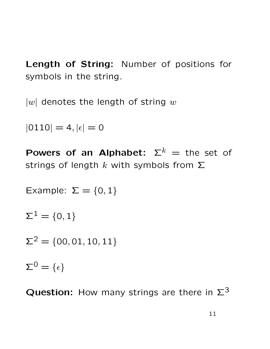Length of String: Number of positions for symbols in the string.

 $|w|$  denotes the length of string w

 $|0110| = 4, |\epsilon| = 0$ 

Powers of an Alphabet:  $\Sigma^k =$  the set of strings of length k with symbols from  $\Sigma$ 

Example: 
$$
\Sigma = \{0, 1\}
$$
  
\n $\Sigma^1 = \{0, 1\}$   
\n $\Sigma^2 = \{00, 01, 10, 11\}$   
\n $\Sigma^0 = \{\epsilon\}$ 

Question: How many strings are there in  $\Sigma^3$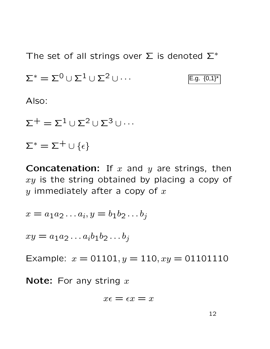The set of all strings over  $\Sigma$  is denoted  $\Sigma^*$ 

 $\Sigma^* = \Sigma^0 \cup \Sigma^1 \cup \Sigma^2 \cup \cdots$  $E.g. {0,1}^*$ 

Also:

 $\Sigma^+ = \Sigma^1 \cup \Sigma^2 \cup \Sigma^3 \cup \cdots$ 

 $\Sigma^* = \Sigma^+ \cup \{\epsilon\}$ 

**Concatenation:** If  $x$  and  $y$  are strings, then  $xy$  is the string obtained by placing a copy of y immediately after a copy of  $x$ 

$$
x = a_1 a_2 \dots a_i, y = b_1 b_2 \dots b_j
$$

 $xy = a_1 a_2 ... a_i b_1 b_2 ... b_i$ 

Example:  $x = 01101, y = 110, xy = 01101110$ 

**Note:** For any string  $x$ 

$$
x\epsilon=\epsilon x=x
$$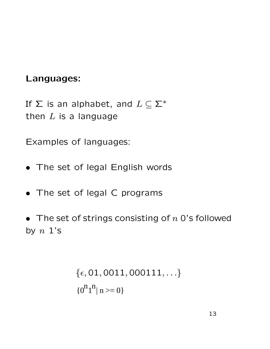#### Languages:

If  $\Sigma$  is an alphabet, and  $L \subseteq \Sigma^*$ then  $L$  is a language

Examples of languages:

- The set of legal English words
- The set of legal C programs
- The set of strings consisting of  $n$  0's followed by  $n \; 1$ 's

```
\{\epsilon, 01, 0011, 000111, ...\}{0^n1}^n | n \geq 0}
```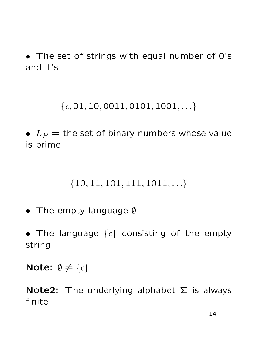• The set of strings with equal number of 0's and 1's

 $\{\epsilon, 01, 10, 0011, 0101, 1001, \ldots\}$ 

•  $L_P$  = the set of binary numbers whose value is prime

#### $\{10, 11, 101, 111, 1011, \ldots\}$

- The empty language  $\emptyset$
- The language  $\{\epsilon\}$  consisting of the empty string

Note:  $\emptyset \neq {\epsilon}$ 

Note2: The underlying alphabet  $\Sigma$  is always finite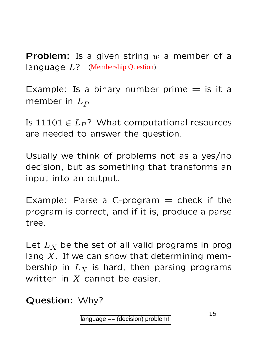**Problem:** Is a given string  $w$  a member of a language  $L$ ? (Membership Question)

Example: Is a binary number prime  $=$  is it a member in  $L_P$ 

Is  $11101 \in L_P$ ? What computational resources are needed to answer the question.

Usually we think of problems not as a yes/no decision, but as something that transforms an input into an output.

Example: Parse a C-program  $=$  check if the program is correct, and if it is, produce a parse tree.

Let  $L_X$  be the set of all valid programs in prog lang  $X$ . If we can show that determining membership in  $L_X$  is hard, then parsing programs written in  $X$  cannot be easier. (Membership Question)<br>
a binary number production)<br>  $P$ ? What computation<br>
answer the question<br>
hink of problems not<br>
as something that<br>
arse a C-program =<br>
orrect, and if it is, proformed and if it is, proformed and the<br>

#### Question: Why?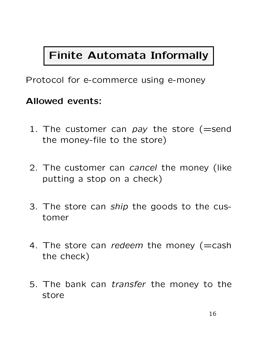### Finite Automata Informally

Protocol for e-commerce using e-money

#### Allowed events:

- 1. The customer can  $pay$  the store (=send the money-file to the store)
- 2. The customer can *cancel* the money (like putting a stop on a check)
- 3. The store can ship the goods to the customer
- 4. The store can redeem the money (=cash the check)
- 5. The bank can transfer the money to the store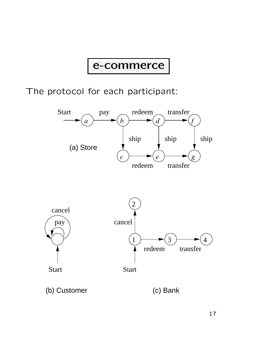#### e-commerce

The protocol for each participant:



(b) Customer (c) Bank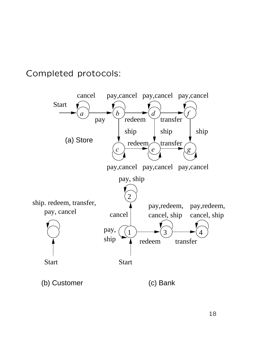Completed protocols:



(b) Customer (c) Bank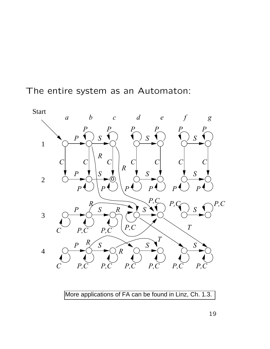The entire system as an Automaton:



More applications of FA can be found in Linz, Ch. 1.3.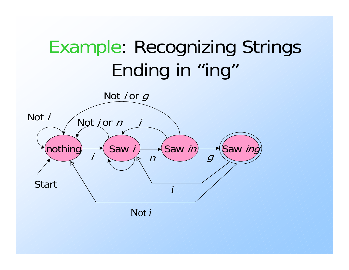# Example: Recognizing Strings Ending in "ing"

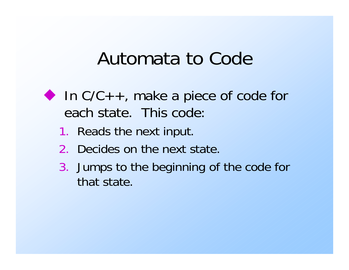## Automata to Code

- In  $C/C++$ , make a piece of code for each state. This code:
	- 1. Reads the next input.
	- 2. Decides on the next state.
	- 3. Jumps to the beginning of the code for that state.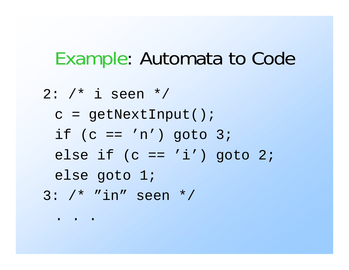### Example: Automata to Code

2: /\* i seen \*/ c = getNextInput(); if  $(c == 'n')$  goto  $3;$ else if  $(c == 'i')$  goto 2; else goto 1; 3: /\* "in" seen \*/

. . .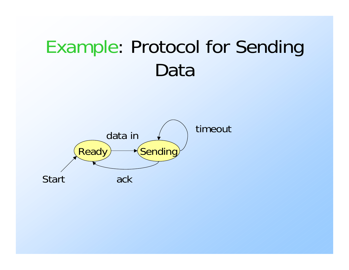# Example: Protocol for Sending Data

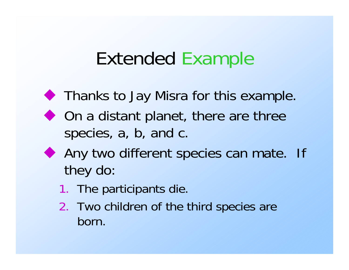## Extended Example

- **Thanks to Jay Misra for this example.**
- ◆ On a distant planet, there are three species, a, b, and c.
- Any two different species can mate. If they do:
	- 1. The participants die.
	- 2. Two children of the third species are born.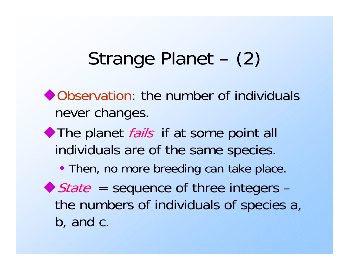# Strange Planet – (2)

◆ Observation: the number of individuals never changes.

The planet *fails* if at some point all individuals are of the same species.

Then, no more breeding can take place.

 $\blacktriangleright$  State = sequence of three integers – the numbers of individuals of species a, b, and c.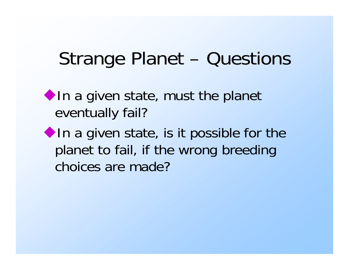## Strange Planet – Questions

 $\blacklozenge$  In a given state, must the planet eventually fail?

 $\blacklozenge$  In a given state, is it possible for the planet to fail, if the wrong breeding choices are made?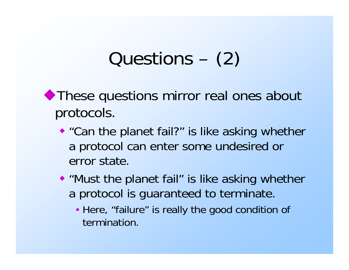# Questions – (2)

◆ These questions mirror real ones about protocols.

- ◆ "Can the planet fail?" is like asking whether a protocol can enter some undesired or error state.
- "Must the planet fail" is like asking whether a protocol is guaranteed to terminate.
	- Here, "failure" is really the good condition of termination.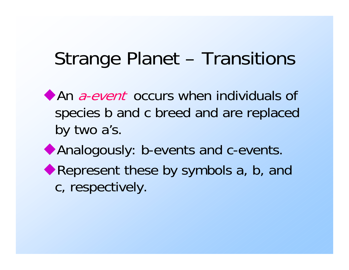## Strange Planet – Transitions

An *a-event* occurs when individuals of species b and c breed and are replaced by two a's. Analogously: b-events and c-events.

Represent these by symbols a, b, and c, respectively.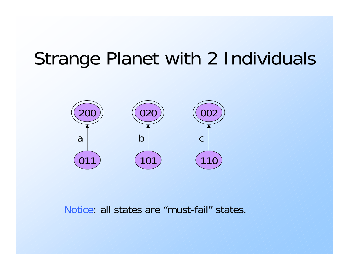# Strange Planet with 2 Individuals



Notice: all states are "must-fail" states.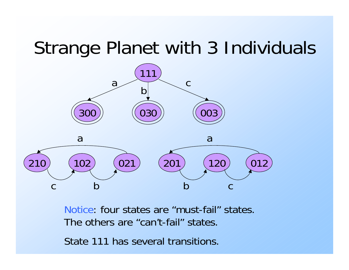## Strange Planet with 3 Individuals



Notice: four states are "must-fail" states.The others are "can't-fail" states.State 111 has several transitions.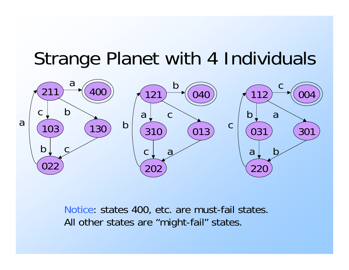### Strange Planet with 4 Individuals



Notice: states 400, etc. are must-fail states. All other states are "might-fail" states.

a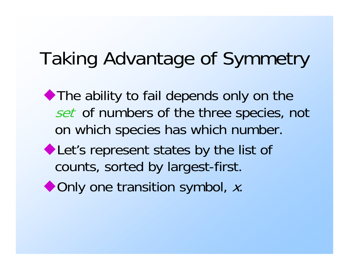# Taking Advantage of Symmetry

The ability to fail depends only on the set of numbers of the three species, not on which species has which number.

- Let's represent states by the list of counts, sorted by largest-first.
- ◆ Only one transition symbol, x.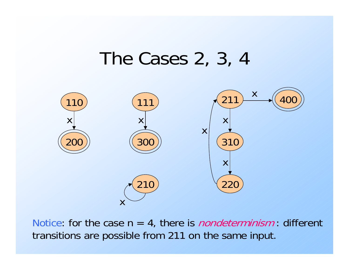### The Cases 2, 3, 4



Notice: for the case  $n = 4$ , there is *nondeterminism*: different transitions are possible from 211 on the same input.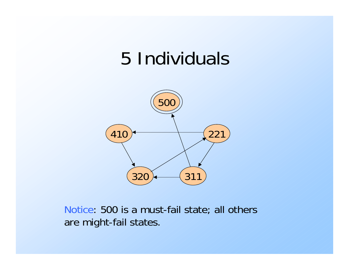## 5 Individuals



Notice: 500 is a must-fail state; all others are might-fail states.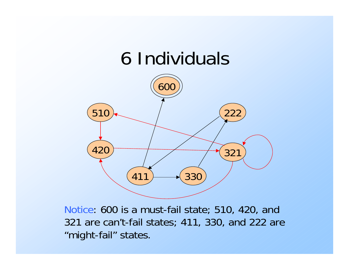

Notice: 600 is a must-fail state; 510, 420, and 321 are can't-fail states; 411, 330, and 222 are "might-fail" states.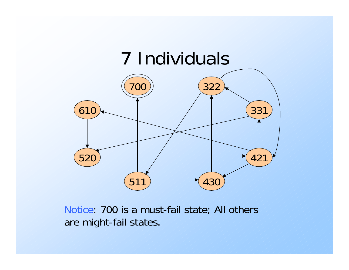

Notice: 700 is a must-fail state; All others are might-fail states.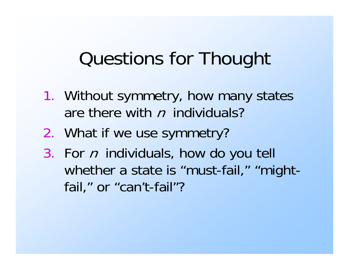## Questions for Thought

- 1. Without symmetry, how many states are there with n individuals?
- 2. What if we use symmetry?
- 3. For n individuals, how do you tell whether a state is "must-fail," "mightfail," or "can't-fail"?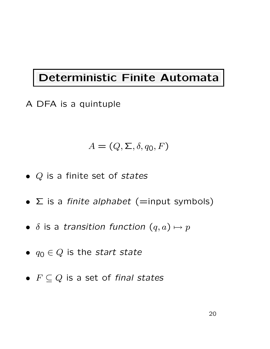#### Deterministic Finite Automata

A DFA is a quintuple

$$
A = (Q, \Sigma, \delta, q_0, F)
$$

- $Q$  is a finite set of states
- $\Sigma$  is a finite alphabet (=input symbols)
- $\delta$  is a transition function  $(q, a) \mapsto p$
- $q_0 \in Q$  is the start state
- $F \subseteq Q$  is a set of final states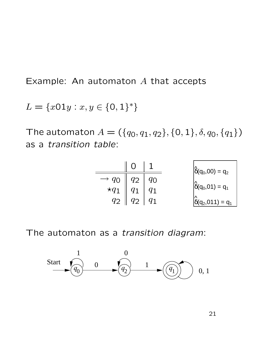Example: An automaton A that accepts

 $L = \{x01y : x, y \in \{0, 1\}^*\}$ 

The automaton  $A = (\{q_0, q_1, q_2\}, \{0, 1\}, \delta, q_0, \{q_1\})$ as a transition table:

|                                      | ∩              | 1          | $\hat{\delta}(q_0, 00) = q_2$                                 |  |  |  |  |
|--------------------------------------|----------------|------------|---------------------------------------------------------------|--|--|--|--|
|                                      | $q_2$          | $q_0$      |                                                               |  |  |  |  |
|                                      | $q_1 \mid q_1$ |            |                                                               |  |  |  |  |
| $\rightarrow$ 90<br>$\star$ 91<br>92 | $q_2$          | $q_1$      | $\overset{\mathsf{h}}{\delta}(\mathsf{q}_2,011)=\mathsf{q}_1$ |  |  |  |  |
|                                      |                |            |                                                               |  |  |  |  |
|                                      |                |            |                                                               |  |  |  |  |
| as a transition diagram:             |                |            |                                                               |  |  |  |  |
|                                      |                |            |                                                               |  |  |  |  |
| $\overline{0}$                       |                |            |                                                               |  |  |  |  |
| 0<br>$q_{2}$                         |                | 1<br>$q_1$ | 0, 1                                                          |  |  |  |  |
|                                      |                |            |                                                               |  |  |  |  |
|                                      |                |            |                                                               |  |  |  |  |
|                                      |                |            |                                                               |  |  |  |  |
|                                      |                |            | 21                                                            |  |  |  |  |

The automaton as a *transition diagram*:

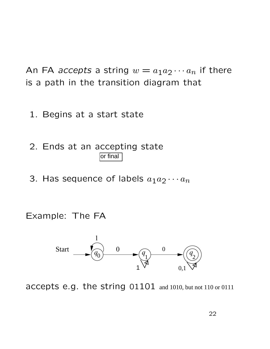An FA accepts a string  $w = a_1 a_2 \cdots a_n$  if there is a path in the transition diagram that

- 1. Begins at a start state
- 2. Ends at an accepting state or final
- 3. Has sequence of labels  $a_1a_2\cdots a_n$

Example: The FA

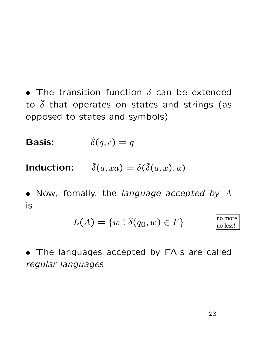• The transition function  $\delta$  can be extended to  $\delta$  that operates on states and strings (as opposed to states and symbols)

**Basis:**  $\delta(q, \epsilon) = q$ 

**Induction:**  $\delta(q, xa) = \delta(\delta(q, x), a)$ 

• Now, fomally, the language accepted by  $A$ is

$$
L(A) = \{w : \hat{\delta}(q_0, w) \in F\} \qquad \qquad \text{no more!} \atop \text{no less!}
$$

• The languages accepted by FA s are called regular languages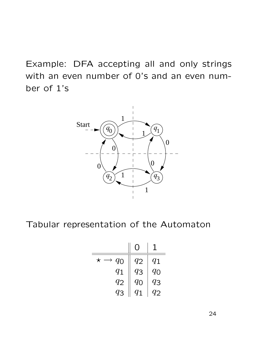Example: DFA accepting all and only strings with an even number of 0's and an even number of 1's



Tabular representation of the Automaton

| $q_{\rm O}$ | $q_{\mathbf{2}}$ | 91          |
|-------------|------------------|-------------|
| $q_{1}$     | $q_3$            | $q_{\rm O}$ |
| $q_2$       | 90               | $q_3$       |
| $q_3$       | $q_1$            | 12          |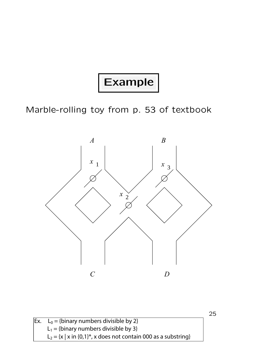### Example

Marble-rolling toy from p. 53 of textbook



| $\mathsf{Ex.}\quad \mathsf{L}_0 = \{\mathsf{binary\ numbers\ divisible\ by\ 2}\}\$ |  |  |
|------------------------------------------------------------------------------------|--|--|
| $L_1 = \{ \text{binary numbers divisible by 3} \}$                                 |  |  |
| $L_2 = \{x \mid x \in \{0,1\}^*$ , x does not contain 000 as a substring}          |  |  |

25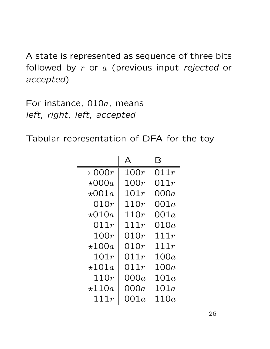A state is represented as sequence of three bits followed by  $r$  or  $a$  (previous input rejected or accepted)

For instance, 010a, means left, right, left, accepted

Tabular representation of DFA for the toy

|                       |         | $\boldsymbol{\mathsf{B}}$ |
|-----------------------|---------|---------------------------|
| $\rightarrow$ 000 $r$ | 100r    | 011r                      |
| $\star$ 000a          | 100r    | 011r                      |
| $\star$ 001 $a$       | 101r    | 000 $a$                   |
| 010r                  | 110r    | OO1 $a$                   |
| $\star$ 010a          | 110r    | OO1 $a$                   |
| 011r                  | 111r    | 010a                      |
| 100r                  | 010r    | 111 $r$                   |
| $\star 100a$          | 010r    | 111r                      |
| 101r                  | 011r    | 100a                      |
| $\star 101a$          | 011r    | 100a                      |
| 110r                  | 000 $a$ | 101a                      |
| $\star 110a$          | 000a    | 101a                      |
| 111r                  | 001a    | 110a                      |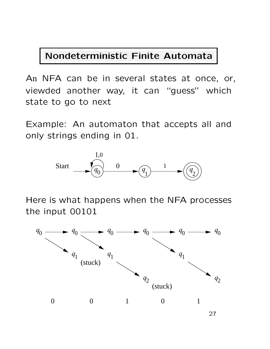#### Nondeterministic Finite Automata

An NFA can be in several states at once, or, viewded another way, it can "guess" which state to go to next

Example: An automaton that accepts all and only strings ending in 01.



Here is what happens when the NFA processes the input 00101

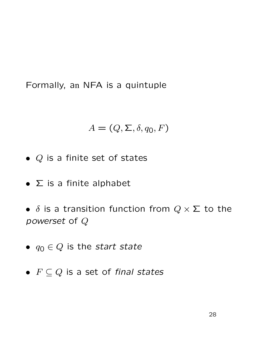Formally, an NFA is a quintuple

$$
A = (Q, \Sigma, \delta, q_0, F)
$$

- $Q$  is a finite set of states
- $\bullet$   $\Sigma$  is a finite alphabet
- $\delta$  is a transition function from  $Q \times \Sigma$  to the powerset of Q
- $q_0 \in Q$  is the start state
- $F \subseteq Q$  is a set of final states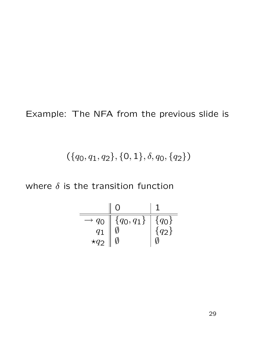#### Example: The NFA from the previous slide is

#### $({q_0, q_1, q_2}, {0, 1}, \delta, q_0, {q_2})$

where  $\delta$  is the transition function

$$
\begin{array}{c|c}\n & 0 & 1 \\
\hline\n\hline\n-q_0 & \{q_0, q_1\} & \{q_0\} \\
q_1 & \emptyset & \{q_2\} \\
\hline\n\star q_2 & \emptyset & \emptyset\n\end{array}
$$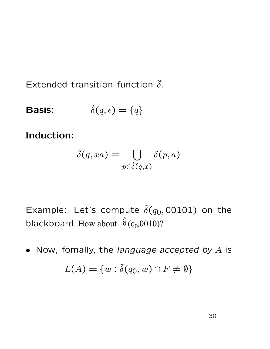Extended transition function  $\delta$ .

**Basis:**  $\hat{\delta}(q, \epsilon) = \{q\}$ 

Induction:

$$
\widehat{\delta}(q,xa) = \bigcup_{p \in \widehat{\delta}(q,x)} \delta(p,a)
$$

Example: Let's compute  $\delta(q_0, 00101)$  on the blackboard. How about  $\delta(q_0, 0010)$ ?  $\hat{\zeta}$  $\overline{0}$ 

• Now, fomally, the language accepted by  $A$  is  $L(A) = \{w : \hat{\delta}(q_0, w) \cap F \neq \emptyset\}$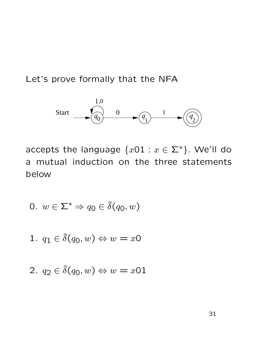Let's prove formally that the NFA



accepts the language  $\{x01 : x \in \Sigma^*\}$ . We'll do a mutual induction on the three statements below

$$
0. \, w \in \Sigma^* \Rightarrow q_0 \in \hat{\delta}(q_0, w)
$$

1. 
$$
q_1 \in \hat{\delta}(q_0, w) \Leftrightarrow w = x0
$$

$$
2. \, q_2 \in \hat{\delta}(q_0, w) \Leftrightarrow w = x01
$$